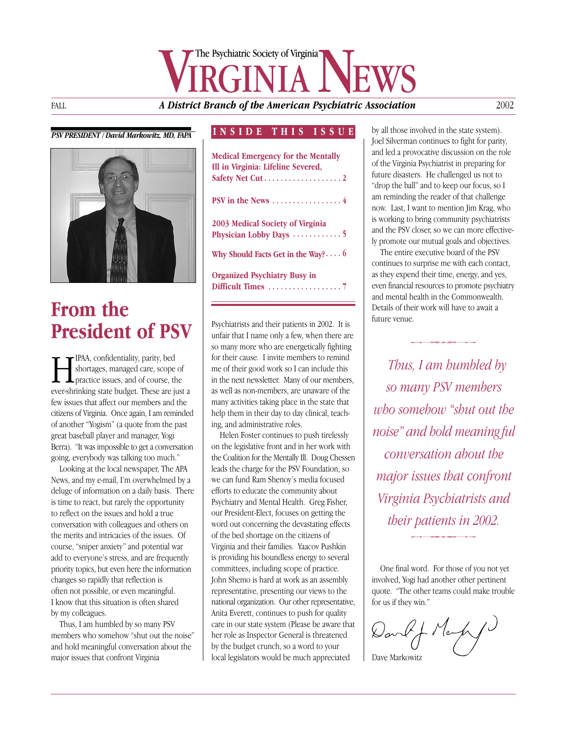# FALL **A District Branch of the American Psychiatric Association** The Psychiatric Society of Virginia

### *PSV PRESIDENT / David Markowitz, MD, FAPA*



## **From the President of PSV**

**HAM**, confidentiality, parity, bed<br>shortages, managed care, scope<br>practice issues, and of course, the<br>ever-shrinking state budget. These are in shortages, managed care, scope of practice issues, and of course, the ever-shrinking state budget. These are just a few issues that affect our members and the citizens of Virginia. Once again, I am reminded of another "Yogism" (a quote from the past great baseball player and manager, Yogi Berra). "It was impossible to get a conversation going, everybody was talking too much."

Looking at the local newspaper, The APA News, and my e-mail, I'm overwhelmed by a deluge of information on a daily basis. There is time to react, but rarely the opportunity to reflect on the issues and hold a true conversation with colleagues and others on the merits and intricacies of the issues. Of course, "sniper anxiety" and potential war add to everyone's stress, and are frequently priority topics, but even here the information changes so rapidly that reflection is often not possible, or even meaningful. I know that this situation is often shared by my colleagues.

Thus, I am humbled by so many PSV members who somehow "shut out the noise" and hold meaningful conversation about the major issues that confront Virginia

### **INSIDE THIS ISSUE**

| <b>Medical Emergency for the Mentally</b><br>Ill in Virginia: Lifeline Severed, |  |
|---------------------------------------------------------------------------------|--|
|                                                                                 |  |
| PSV in the News $\dots\dots\dots\dots\dots\dots4$                               |  |
| 2003 Medical Society of Virginia                                                |  |
| Physician Lobby Days 5                                                          |  |
| Why Should Facts Get in the Way? $\cdots$ 6                                     |  |
| <b>Organized Psychiatry Busy in</b>                                             |  |
|                                                                                 |  |
|                                                                                 |  |

Psychiatrists and their patients in 2002. It is unfair that I name only a few, when there are so many more who are energetically fighting for their cause. I invite members to remind me of their good work so I can include this in the next newsletter. Many of our members, as well as non-members, are unaware of the many activities taking place in the state that help them in their day to day clinical, teaching, and administrative roles.

Helen Foster continues to push tirelessly on the legislative front and in her work with the Coalition for the Mentally Ill. Doug Chessen leads the charge for the PSV Foundation, so we can fund Ram Shenoy's media focused efforts to educate the community about Psychiatry and Mental Health. Greg Fisher, our President-Elect, focuses on getting the word out concerning the devastating effects of the bed shortage on the citizens of Virginia and their families. Yaacov Pushkin is providing his boundless energy to several committees, including scope of practice. John Shemo is hard at work as an assembly representative, presenting our views to the national organization. Our other representative, Anita Everett, continues to push for quality care in our state system (Please be aware that her role as Inspector General is threatened by the budget crunch, so a word to your local legislators would be much appreciated

by all those involved in the state system). Joel Silverman continues to fight for parity, and led a provocative discussion on the role of the Virginia Psychiatrist in preparing for future disasters. He challenged us not to "drop the ball" and to keep our focus, so I am reminding the reader of that challenge now. Last, I want to mention Jim Krag, who is working to bring community psychiatrists and the PSV closer, so we can more effectively promote our mutual goals and objectives.

The entire executive board of the PSV continues to surprise me with each contact, as they expend their time, energy, and yes, even financial resources to promote psychiatry and mental health in the Commonwealth. Details of their work will have to await a future venue. *Is* of their work will have to await a<br>
be venue.<br> **Thus, I am humbled by** 

*so many PSV members who somehow "shut out the noise" and hold meaning ful conversation about the major issues that confront Virginia Psychiatrists and their patients in 2002.* -

One final word. For those of you not yet involved, Yogi had another other pertinent quote. "The other teams could make trouble for us if they win."

David J. Narpy

Dave Markowitz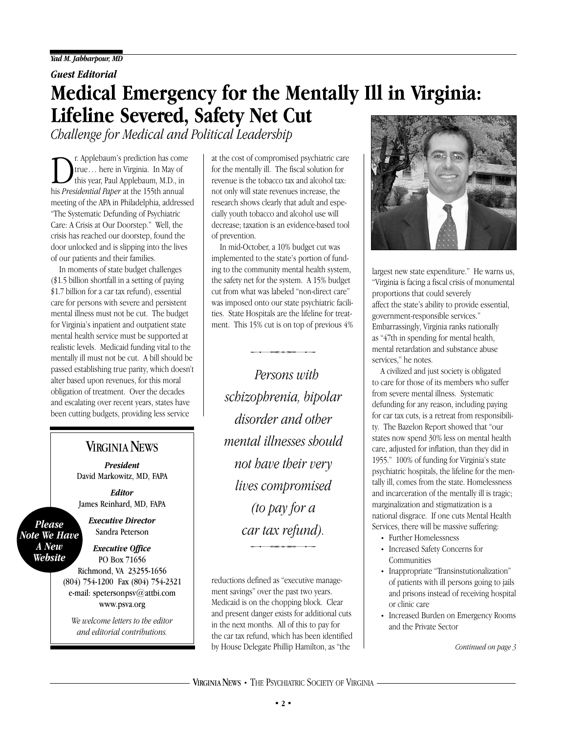### *Guest Editorial*

# **Medical Emergency for the Mentally Ill in Virginia: Lifeline Severed, Safety Net Cut**

*Challenge for Medical and Political Leadership*

r. Applebaum's prediction has come true… here in Virginia. In May of this year, Paul Applebaum, M.D., in his *Presidential Paper* at the 155th annual meeting of the APA in Philadelphia, addressed "The Systematic Defunding of Psychiatric Care: A Crisis at Our Doorstep." Well, the crisis has reached our doorstep, found the door unlocked and is slipping into the lives of our patients and their families.

In moments of state budget challenges (\$1.5 billion shortfall in a setting of paying \$1.7 billion for a car tax refund), essential care for persons with severe and persistent mental illness must not be cut. The budget for Virginia's inpatient and outpatient state mental health service must be supported at realistic levels. Medicaid funding vital to the mentally ill must not be cut. A bill should be passed establishing true parity, which doesn't alter based upon revenues, for this moral obligation of treatment. Over the decades and escalating over recent years, states have been cutting budgets, providing less service

## **VIRGINIA NEWS**

*President* David Markowitz, MD, FAPA

*Editor* James Reinhard, MD, FAPA

*Please Note We Have A New Website*

*Executive Director* Sandra Peterson

*Executive Office* PO Box 71656 Richmond, VA 23255-1656 (804) 754-1200 Fax (804) 754-2321 e-mail: spetersonpsv@attbi.com www.psva.org

*We welcome letters to the editor and editorial contributions.*

at the cost of compromised psychiatric care for the mentally ill. The fiscal solution for revenue is the tobacco tax and alcohol tax: not only will state revenues increase, the research shows clearly that adult and especially youth tobacco and alcohol use will decrease; taxation is an evidence-based tool of prevention.

In mid-October, a 10% budget cut was implemented to the state's portion of funding to the community mental health system, the safety net for the system. A 15% budget cut from what was labeled "non-direct care" was imposed onto our state psychiatric facilities. State Hospitals are the lifeline for treatment. This 15% cut is on top of previous 4% Iospitals are the lifeline for<br>15% cut is on top of previous<br>**Consequence**<br>*Dorsoms* with

*Persons with schizophrenia, bipolar disorder and other mental illnesses should not have their very lives compromised (to pay for a car tax refund).* - $\int$ .

reductions defined as "executive management savings" over the past two years. Medicaid is on the chopping block. Clear and present danger exists for additional cuts in the next months. All of this to pay for the car tax refund, which has been identified by House Delegate Phillip Hamilton, as "the



largest new state expenditure." He warns us, "Virginia is facing a fiscal crisis of monumental proportions that could severely affect the state's ability to provide essential, government-responsible services." Embarrassingly, Virginia ranks nationally as "47th in spending for mental health, mental retardation and substance abuse services," he notes.

A civilized and just society is obligated to care for those of its members who suffer from severe mental illness. Systematic defunding for any reason, including paying for car tax cuts, is a retreat from responsibility. The Bazelon Report showed that "our states now spend 30% less on mental health care, adjusted for inflation, than they did in 1955." 100% of funding for Virginia's state psychiatric hospitals, the lifeline for the mentally ill, comes from the state. Homelessness and incarceration of the mentally ill is tragic; marginalization and stigmatization is a national disgrace. If one cuts Mental Health Services, there will be massive suffering:

- Further Homelessness
- Increased Safety Concerns for Communities
- Inappropriate "Transinstutionalization" of patients with ill persons going to jails and prisons instead of receiving hospital or clinic care
- Increased Burden on Emergency Rooms and the Private Sector

*Continued on page 3*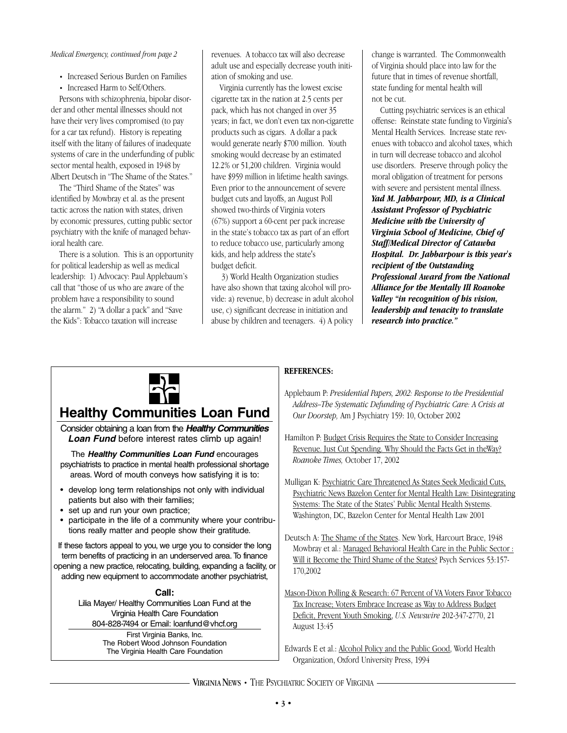#### *Medical Emergency, continued from page 2*

- Increased Serious Burden on Families
- Increased Harm to Self/Others.

Persons with schizophrenia, bipolar disorder and other mental illnesses should not have their very lives compromised (to pay for a car tax refund). History is repeating itself with the litany of failures of inadequate systems of care in the underfunding of public sector mental health, exposed in 1948 by Albert Deutsch in "The Shame of the States."

The "Third Shame of the States" was identified by Mowbray et al. as the present tactic across the nation with states, driven by economic pressures, cutting public sector psychiatry with the knife of managed behavioral health care.

There is a solution. This is an opportunity for political leadership as well as medical leadership: 1) Advocacy: Paul Applebaum's call that "those of us who are aware of the problem have a responsibility to sound the alarm." 2) "A dollar a pack" and "Save the Kids": Tobacco taxation will increase

revenues. A tobacco tax will also decrease adult use and especially decrease youth initiation of smoking and use.

Virginia currently has the lowest excise cigarette tax in the nation at 2.5 cents per pack, which has not changed in over 35 years; in fact, we don't even tax non-cigarette products such as cigars. A dollar a pack would generate nearly \$700 million. Youth smoking would decrease by an estimated 12.2% or 51,200 children. Virginia would have \$959 million in lifetime health savings. Even prior to the announcement of severe budget cuts and layoffs, an August Poll showed two-thirds of Virginia voters (67%) support a 60-cent per pack increase in the state's tobacco tax as part of an effort to reduce tobacco use, particularly among kids, and help address the state's budget deficit.

3) World Health Organization studies have also shown that taxing alcohol will provide: a) revenue, b) decrease in adult alcohol use, c) significant decrease in initiation and abuse by children and teenagers. 4) A policy

change is warranted. The Commonwealth of Virginia should place into law for the future that in times of revenue shortfall, state funding for mental health will not be cut.

Cutting psychiatric services is an ethical offense: Reinstate state funding to Virginia's Mental Health Services. Increase state revenues with tobacco and alcohol taxes, which in turn will decrease tobacco and alcohol use disorders. Preserve through policy the moral obligation of treatment for persons with severe and persistent mental illness. *Yad M. Jabbarpour, MD, is a Clinical Assistant Professor of Psychiatric Medicine with the University of Virginia School of Medicine, Chief of Staff/Medical Director of Catawba Hospital. Dr. Jabbarpour is this year's recipient of the Outstanding Professional Award from the National Alliance for the Mentally Ill Roanoke Valley "in recognition of his vision, leadership and tenacity to translate research into practice."* 



### **Healthy Communities Loan Fund**

Consider obtaining a loan from the *Healthy Communities Loan Fund* before interest rates climb up again!

The *Healthy Communities Loan Fund* encourages psychiatrists to practice in mental health professional shortage areas. Word of mouth conveys how satisfying it is to:

- develop long term relationships not only with individual patients but also with their families;
- set up and run your own practice;
- participate in the life of a community where your contributions really matter and people show their gratitude.

If these factors appeal to you, we urge you to consider the long term benefits of practicing in an underserved area. To finance opening a new practice, relocating, building, expanding a facility, or adding new equipment to accommodate another psychiatrist,

> **Call:** Lilia Mayer/ Healthy Communities Loan Fund at the Virginia Health Care Foundation 804-828-7494 or Email: loanfund@vhcf.org

First Virginia Banks, Inc. The Robert Wood Johnson Foundation The Virginia Health Care Foundation

#### **REFERENCES:**

Applebaum P: *Presidential Papers, 2002: Response to the Presidential Address–The Systematic Defunding of Psychiatric Care: A Crisis at Our Doorstep,* Am J Psychiatry 159: 10, October 2002

Hamilton P: Budget Crisis Requires the State to Consider Increasing Revenue. Just Cut Spending. Why Should the Facts Get in theWay? *Roanoke Times,* October 17, 2002

Mulligan K: Psychiatric Care Threatened As States Seek Medicaid Cuts, Psychiatric News Bazelon Center for Mental Health Law: Disintegrating Systems: The State of the States' Public Mental Health Systems. Washington, DC, Bazelon Center for Mental Health Law 2001

Deutsch A: The Shame of the States. New York, Harcourt Brace, 1948 Mowbray et al.: Managed Behavioral Health Care in the Public Sector : Will it Become the Third Shame of the States? Psych Services 53:157-170,2002

Mason-Dixon Polling & Research: 67 Percent of VA Voters Favor Tobacco Tax Increase; Voters Embrace Increase as Way to Address Budget Deficit, Prevent Youth Smoking, *U.S. Newswire* 202-347-2770, 21 August 13:45

Edwards E et al.: Alcohol Policy and the Public Good, World Health Organization, Oxford University Press, 1994

VIRGINIANEWS **•** THE PSYCHIATRIC SOCIETY OF VIRGINIA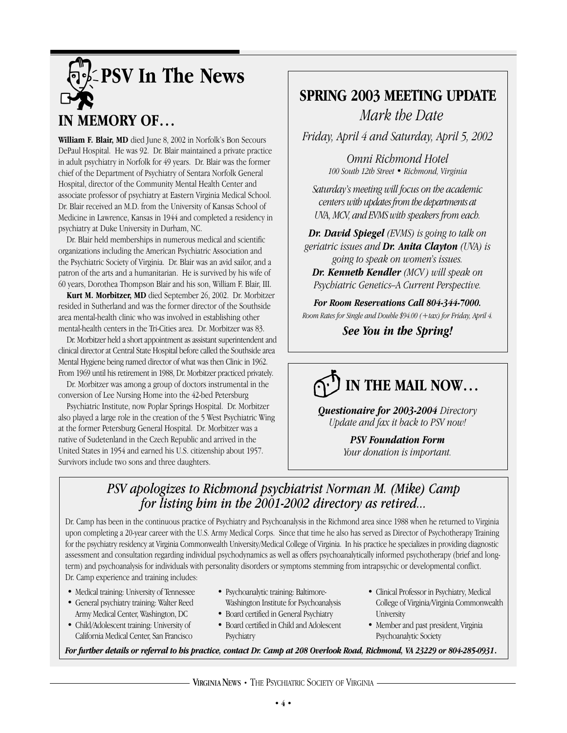

## **IN MEMORY OF…**

**William F. Blair, MD** died June 8, 2002 in Norfolk's Bon Secours DePaul Hospital. He was 92. Dr. Blair maintained a private practice in adult psychiatry in Norfolk for 49 years. Dr. Blair was the former chief of the Department of Psychiatry of Sentara Norfolk General Hospital, director of the Community Mental Health Center and associate professor of psychiatry at Eastern Virginia Medical School. Dr. Blair received an M.D. from the University of Kansas School of Medicine in Lawrence, Kansas in 1944 and completed a residency in psychiatry at Duke University in Durham, NC.

Dr. Blair held memberships in numerous medical and scientific organizations including the American Psychiatric Association and the Psychiatric Society of Virginia. Dr. Blair was an avid sailor, and a patron of the arts and a humanitarian. He is survived by his wife of 60 years, Dorothea Thompson Blair and his son, William F. Blair, III.

**Kurt M. Morbitzer, MD** died September 26, 2002. Dr. Morbitzer resided in Sutherland and was the former director of the Southside area mental-health clinic who was involved in establishing other mental-health centers in the Tri-Cities area. Dr. Morbitzer was 83.

Dr. Morbitzer held a short appointment as assistant superintendent and clinical director at Central State Hospital before called the Southside area Mental Hygiene being named director of what was then Clinic in 1962. From 1969 until his retirement in 1988, Dr. Morbitzer practiced privately.

Dr. Morbitzer was among a group of doctors instrumental in the conversion of Lee Nursing Home into the 42-bed Petersburg

Psychiatric Institute, now Poplar Springs Hospital. Dr. Morbitzer also played a large role in the creation of the 5 West Psychiatric Wing at the former Petersburg General Hospital. Dr. Morbitzer was a native of Sudetenland in the Czech Republic and arrived in the United States in 1954 and earned his U.S. citizenship about 1957. Survivors include two sons and three daughters.

## **SPRING 2003 MEETING UPDATE** *Mark the Date*

*Friday, April 4 and Saturday, April 5, 2002*

*Omni Richmond Hotel 100 South 12th Street • Richmond, Virginia*

*Saturday's meeting will focus on the academic centers with updates from the departments at UVA, MCV, and EVMS with speakers from each.* 

*Dr. David Spiegel (EVMS) is going to talk on geriatric issues and Dr. Anita Clayton (UVA) is going to speak on women's issues. Dr. Kenneth Kendler (MCV) will speak on Psychiatric Genetics–A Current Perspective.*

*For Room Reservations Call 804-344-7000. Room Rates for Single and Double \$94.00 (+tax) for Friday, April 4.*

*See You in the Spring!*

# **IN THE MAIL NOW…**

*Questionaire for 2003-2004 Directory Update and fax it back to PSV now!*

> *PSV Foundation Form Your donation is important.*

## *PSV apologizes to Richmond psychiatrist Norman M. (Mike) Camp for listing him in the 2001-2002 directory as retired...*

Dr. Camp has been in the continuous practice of Psychiatry and Psychoanalysis in the Richmond area since 1988 when he returned to Virginia upon completing a 20-year career with the U.S. Army Medical Corps. Since that time he also has served as Director of Psychotherapy Training for the psychiatry residency at Virginia Commonwealth University/Medical College of Virginia. In his practice he specializes in providing diagnostic assessment and consultation regarding individual psychodynamics as well as offers psychoanalytically informed psychotherapy (brief and longterm) and psychoanalysis for individuals with personality disorders or symptoms stemming from intrapsychic or developmental conflict. Dr. Camp experience and training includes:

- Medical training: University of Tennessee
- General psychiatry training: Walter Reed Army Medical Center, Washington, DC
- Child/Adolescent training: University of California Medical Center, San Francisco
- Psychoanalytic training: Baltimore-Washington Institute for Psychoanalysis
- Board certified in General Psychiatry
- Board certified in Child and Adolescent **Psychiatry**
- Clinical Professor in Psychiatry, Medical College of Virginia/Virginia Commonwealth University
- Member and past president, Virginia Psychoanalytic Society

*For further details or referral to his practice, contact Dr. Camp at 208 Overlook Road, Richmond, VA 23229 or 804-285-0931*.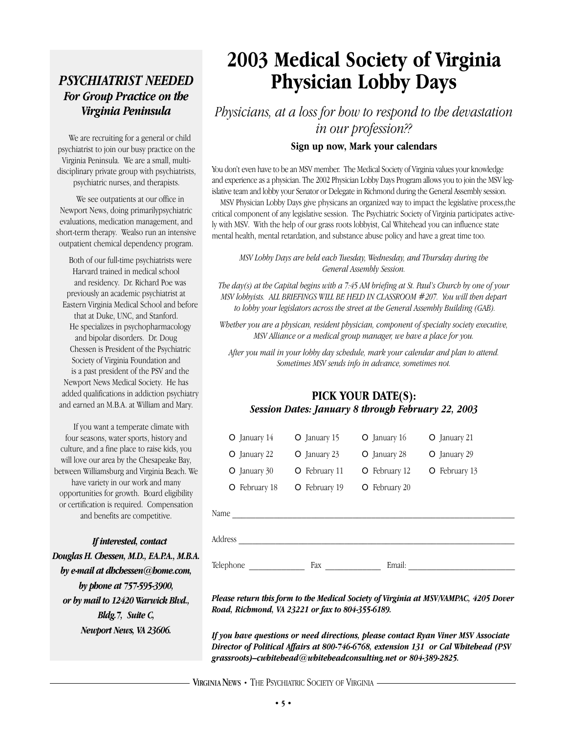## *PSYCHIATRIST NEEDED For Group Practice on the Virginia Peninsula*

We are recruiting for a general or child psychiatrist to join our busy practice on the Virginia Peninsula. We are a small, multidisciplinary private group with psychiatrists, psychiatric nurses, and therapists.

We see outpatients at our office in Newport News, doing primarilypsychiatric evaluations, medication management, and short-term therapy. Wealso run an intensive outpatient chemical dependency program.

Both of our full-time psychiatrists were Harvard trained in medical school and residency. Dr. Richard Poe was previously an academic psychiatrist at Eastern Virginia Medical School and before that at Duke, UNC, and Stanford. He specializes in psychopharmacology and bipolar disorders. Dr. Doug Chessen is President of the Psychiatric Society of Virginia Foundation and is a past president of the PSV and the Newport News Medical Society. He has added qualifications in addiction psychiatry and earned an M.B.A. at William and Mary.

If you want a temperate climate with four seasons, water sports, history and culture, and a fine place to raise kids, you will love our area by the Chesapeake Bay, between Williamsburg and Virginia Beach. We have variety in our work and many opportunities for growth. Board eligibility or certification is required. Compensation and benefits are competitive.

*If interested, contact Douglas H. Chessen, M.D., F.A.P.A., M.B.A. by e-mail at dhchessen@home.com, by phone at 757-595-3900, or by mail to 12420 Warwick Blvd., Bldg.7, Suite C, Newport News, VA 23606.*

# **2003 Medical Society of Virginia Physician Lobby Days**

*Physicians, at a loss for how to respond to the devastation in our profession??*

### **Sign up now, Mark your calendars**

You don't even have to be an MSV member. The Medical Society of Virginia values your knowledge and experience as a physician. The 2002 Physician Lobby Days Program allows you to join the MSV legislative team and lobby your Senator or Delegate in Richmond during the General Assembly session.

MSV Physician Lobby Days give physicans an organized way to impact the legislative process,the critical component of any legislative session. The Psychiatric Society of Virginia participates actively with MSV. With the help of our grass roots lobbyist, Cal Whitehead you can influence state mental health, mental retardation, and substance abuse policy and have a great time too.

*MSV Lobby Days are held each Tuesday, Wednesday, and Thursday during the General Assembly Session.* 

*The day(s) at the Capital begins with a 7:45 AM briefing at St. Paul's Church by one of your MSV lobbyists. ALL BRIEFINGS WILL BE HELD IN CLASSROOM #207. You will then depart to lobby your legislators across the street at the General Assembly Building (GAB).* 

*Whether you are a physican, resident physician, component of specialty society executive, MSV Alliance or a medical group manager, we have a place for you.* 

*After you mail in your lobby day schedule, mark your calendar and plan to attend. Sometimes MSV sends info in advance, sometimes not.*

### **PICK YOUR DATE(S):** *Session Dates: January 8 through February 22, 2003*

| $O$ January 14                    | O January 15   | $O$ January 16                                               | O January 21  |
|-----------------------------------|----------------|--------------------------------------------------------------|---------------|
| O January 22                      | $O$ January 23 | O January 28                                                 | O January 29  |
| $O$ January 30                    | O February 11  | O February 12                                                | O February 13 |
| February 18<br>O                  | O February 19  | O February 20                                                |               |
| Name                              |                |                                                              |               |
| Address                           |                |                                                              |               |
| Telephone                         | Fax            | Email:                                                       |               |
| $\mathbf{r}$ $\mathbf{r}$<br>$-1$ | $-1$           | $\theta$ and $\theta$ and $\theta$ and $\theta$ and $\theta$ |               |

*Please return this form to the Medical Society of Virginia at MSV/VAMPAC, 4205 Dover Road, Richmond, VA 23221 or fax to 804-355-6189.*

*If you have questions or need directions, please contact Ryan Viner MSV Associate Director of Political Affairs at 800-746-6768, extension 131 or Cal Whitehead (PSV grassroots)–cwhitehead@whiteheadconsulting.net or 804-389-2825.*

### VIRGINIA NEWS • THE PSYCHIATRIC SOCIETY OF VIRGINIA ·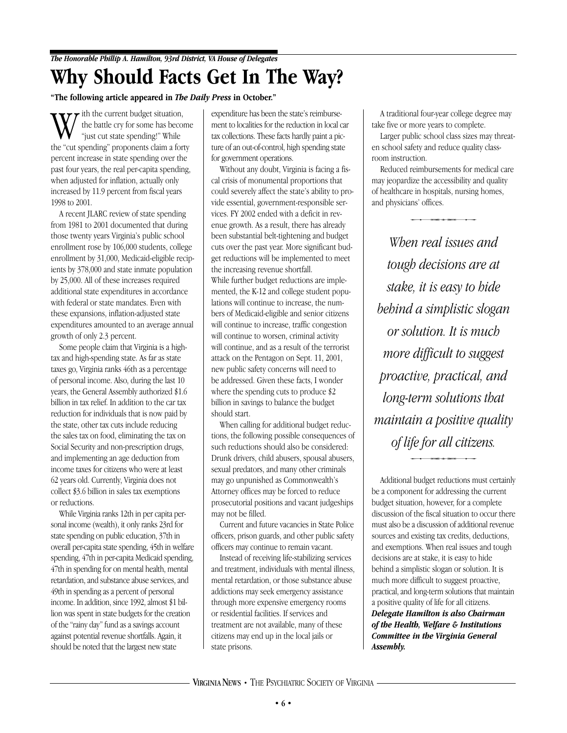# **Why Should Facts Get In The Way?**

### **"The following article appeared in** *The Daily Press* **in October."**

With the current budget situation,<br>"just cut state spending!" While<br>the "cut spending" proponents claim a forty the battle cry for some has become "just cut state spending!" While percent increase in state spending over the past four years, the real per-capita spending, when adjusted for inflation, actually only increased by 11.9 percent from fiscal years 1998 to 2001.

A recent JLARC review of state spending from 1981 to 2001 documented that during those twenty years Virginia's public school enrollment rose by 106,000 students, college enrollment by 31,000, Medicaid-eligible recipients by 378,000 and state inmate population by 25,000. All of these increases required additional state expenditures in accordance with federal or state mandates. Even with these expansions, inflation-adjusted state expenditures amounted to an average annual growth of only 2.3 percent.

Some people claim that Virginia is a hightax and high-spending state. As far as state taxes go, Virginia ranks 46th as a percentage of personal income. Also, during the last 10 years, the General Assembly authorized \$1.6 billion in tax relief. In addition to the car tax reduction for individuals that is now paid by the state, other tax cuts include reducing the sales tax on food, eliminating the tax on Social Security and non-prescription drugs, and implementing an age deduction from income taxes for citizens who were at least 62 years old. Currently, Virginia does not collect \$3.6 billion in sales tax exemptions or reductions.

While Virginia ranks 12th in per capita personal income (wealth), it only ranks 23rd for state spending on public education, 37th in overall per-capita state spending, 45th in welfare spending, 47th in per-capita Medicaid spending, 47th in spending for on mental health, mental retardation, and substance abuse services, and 49th in spending as a percent of personal income. In addition, since 1992, almost \$1 billion was spent in state budgets for the creation of the "rainy day" fund as a savings account against potential revenue shortfalls. Again, it should be noted that the largest new state

expenditure has been the state's reimbursement to localities for the reduction in local car tax collections. These facts hardly paint a picture of an out-of-control, high spending state for government operations.

Without any doubt, Virginia is facing a fiscal crisis of monumental proportions that could severely affect the state's ability to provide essential, government-responsible services. FY 2002 ended with a deficit in revenue growth. As a result, there has already been substantial belt-tightening and budget cuts over the past year. More significant budget reductions will be implemented to meet the increasing revenue shortfall. While further budget reductions are implemented, the K-12 and college student populations will continue to increase, the numbers of Medicaid-eligible and senior citizens will continue to increase, traffic congestion will continue to worsen, criminal activity will continue, and as a result of the terrorist attack on the Pentagon on Sept. 11, 2001, new public safety concerns will need to be addressed. Given these facts, I wonder where the spending cuts to produce \$2 billion in savings to balance the budget should start.

When calling for additional budget reductions, the following possible consequences of such reductions should also be considered: Drunk drivers, child abusers, spousal abusers, sexual predators, and many other criminals may go unpunished as Commonwealth's Attorney offices may be forced to reduce prosecutorial positions and vacant judgeships may not be filled.

Current and future vacancies in State Police officers, prison guards, and other public safety officers may continue to remain vacant.

Instead of receiving life-stabilizing services and treatment, individuals with mental illness, mental retardation, or those substance abuse addictions may seek emergency assistance through more expensive emergency rooms or residential facilities. If services and treatment are not available, many of these citizens may end up in the local jails or state prisons.

A traditional four-year college degree may take five or more years to complete.

Larger public school class sizes may threaten school safety and reduce quality classroom instruction.

Reduced reimbursements for medical care may jeopardize the accessibility and quality of healthcare in hospitals, nursing homes, and physicians' offices. ize the accessibility and que in hospitals, nursing home<br>ns' offices.<br>An *roal issues and* 

*When real issues and tough decisions are at stake, it is easy to hide behind a simplistic slogan or solution. It is much more difficult to suggest proactive, practical, and long-term solutions that maintain a positive quality intain a positive qua*<br>*of life for all citizens.*<br>i<sub>iional budget reductions must ce</sub>

Additional budget reductions must certainly be a component for addressing the current budget situation, however, for a complete discussion of the fiscal situation to occur there must also be a discussion of additional revenue sources and existing tax credits, deductions, and exemptions. When real issues and tough decisions are at stake, it is easy to hide behind a simplistic slogan or solution. It is much more difficult to suggest proactive, practical, and long-term solutions that maintain a positive quality of life for all citizens. *Delegate Hamilton is also Chairman of the Health, Welfare & Institutions Committee in the Virginia General Assembly.*